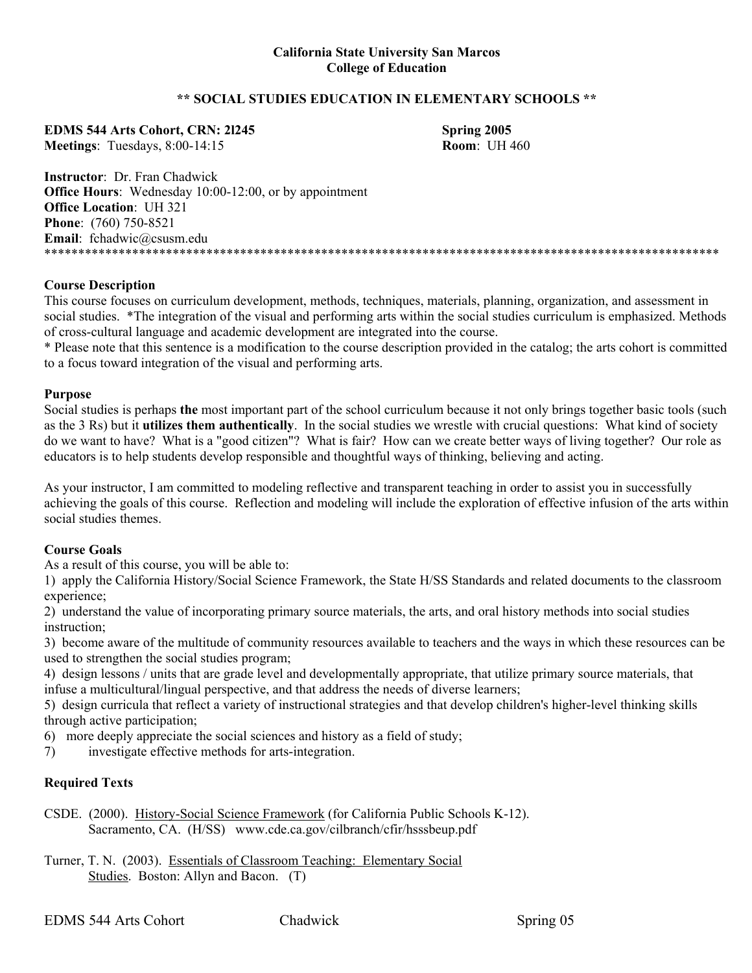## **\*\* SOCIAL STUDIES EDUCATION IN ELEMENTARY SCHOOLS \*\***

**EDMS 544 Arts Cohort, CRN: 2l245 Spring 2005 Meetings**: Tuesdays, 8:00-14:15 **Room**: UH 460

**Instructor**: Dr. Fran Chadwick **Office Hours:** Wednesday 10:00-12:00, or by appointment **Office Location**: UH 321 **Phone**: (760) 750-8521 **Email**: fchadwic@csusm.edu \*\*\*\*\*\*\*\*\*\*\*\*\*\*\*\*\*\*\*\*\*\*\*\*\*\*\*\*\*\*\*\*\*\*\*\*\*\*\*\*\*\*\*\*\*\*\*\*\*\*\*\*\*\*\*\*\*\*\*\*\*\*\*\*\*\*\*\*\*\*\*\*\*\*\*\*\*\*\*\*\*\*\*\*\*\*\*\*\*\*\*\*\*\*\*\*\*\*\*\*

#### **Course Description**

This course focuses on curriculum development, methods, techniques, materials, planning, organization, and assessment in social studies. \*The integration of the visual and performing arts within the social studies curriculum is emphasized. Methods of cross-cultural language and academic development are integrated into the course.

\* Please note that this sentence is a modification to the course description provided in the catalog; the arts cohort is committed to a focus toward integration of the visual and performing arts.

#### **Purpose**

Social studies is perhaps **the** most important part of the school curriculum because it not only brings together basic tools (such as the 3 Rs) but it **utilizes them authentically**. In the social studies we wrestle with crucial questions: What kind of society do we want to have? What is a "good citizen"? What is fair? How can we create better ways of living together? Our role as educators is to help students develop responsible and thoughtful ways of thinking, believing and acting.

As your instructor, I am committed to modeling reflective and transparent teaching in order to assist you in successfully achieving the goals of this course. Reflection and modeling will include the exploration of effective infusion of the arts within social studies themes.

## **Course Goals**

As a result of this course, you will be able to:

1) apply the California History/Social Science Framework, the State H/SS Standards and related documents to the classroom experience;

2) understand the value of incorporating primary source materials, the arts, and oral history methods into social studies instruction;

3) become aware of the multitude of community resources available to teachers and the ways in which these resources can be used to strengthen the social studies program;

4) design lessons / units that are grade level and developmentally appropriate, that utilize primary source materials, that infuse a multicultural/lingual perspective, and that address the needs of diverse learners;

5) design curricula that reflect a variety of instructional strategies and that develop children's higher-level thinking skills through active participation;

6) more deeply appreciate the social sciences and history as a field of study;

7) investigate effective methods for arts-integration.

## **Required Texts**

CSDE. (2000). History-Social Science Framework (for California Public Schools K-12). Sacramento, CA. (H/SS) www.cde.ca.gov/cilbranch/cfir/hsssbeup.pdf

Turner, T. N. (2003). Essentials of Classroom Teaching: Elementary Social Studies. Boston: Allyn and Bacon. (T)

EDMS 544 Arts Cohort Chadwick Chadwick Spring 05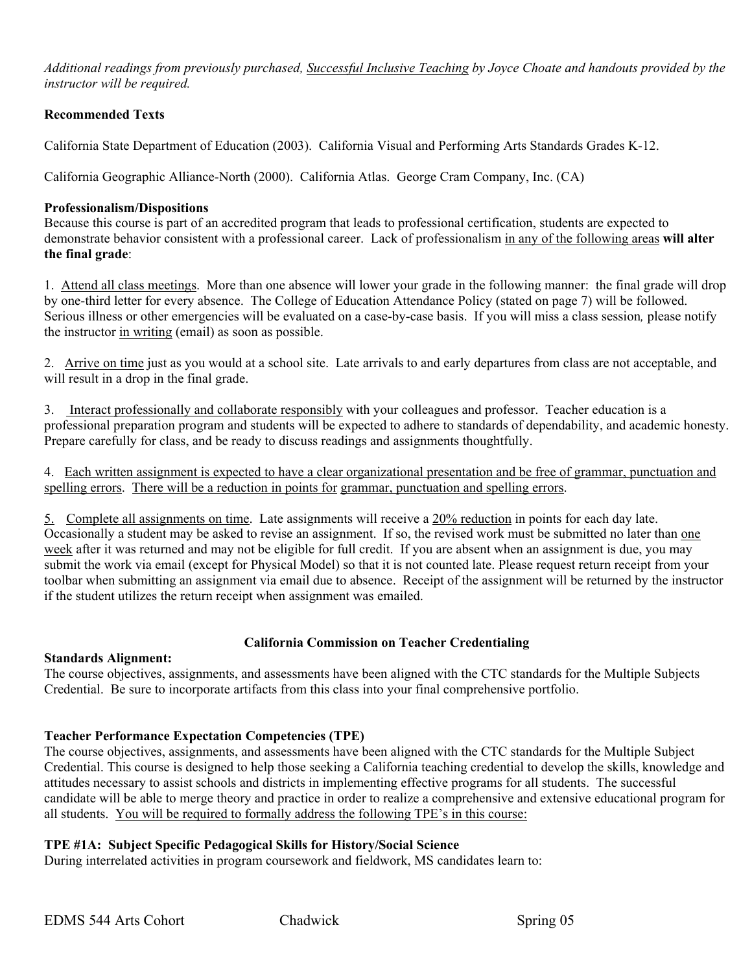*Additional readings from previously purchased, Successful Inclusive Teaching by Joyce Choate and handouts provided by the instructor will be required.* 

# **Recommended Texts**

California State Department of Education (2003). California Visual and Performing Arts Standards Grades K-12.

California Geographic Alliance-North (2000). California Atlas. George Cram Company, Inc. (CA)

# **Professionalism/Dispositions**

Because this course is part of an accredited program that leads to professional certification, students are expected to demonstrate behavior consistent with a professional career. Lack of professionalism in any of the following areas **will alter the final grade**:

1. Attend all class meetings. More than one absence will lower your grade in the following manner: the final grade will drop by one-third letter for every absence. The College of Education Attendance Policy (stated on page 7) will be followed. Serious illness or other emergencies will be evaluated on a case-by-case basis. If you will miss a class session*,* please notify the instructor in writing (email) as soon as possible.

2. Arrive on time just as you would at a school site. Late arrivals to and early departures from class are not acceptable, and will result in a drop in the final grade.

3. Interact professionally and collaborate responsibly with your colleagues and professor. Teacher education is a professional preparation program and students will be expected to adhere to standards of dependability, and academic honesty. Prepare carefully for class, and be ready to discuss readings and assignments thoughtfully.

4. Each written assignment is expected to have a clear organizational presentation and be free of grammar, punctuation and spelling errors. There will be a reduction in points for grammar, punctuation and spelling errors.

5. Complete all assignments on time. Late assignments will receive a 20% reduction in points for each day late. Occasionally a student may be asked to revise an assignment. If so, the revised work must be submitted no later than one week after it was returned and may not be eligible for full credit. If you are absent when an assignment is due, you may submit the work via email (except for Physical Model) so that it is not counted late. Please request return receipt from your toolbar when submitting an assignment via email due to absence. Receipt of the assignment will be returned by the instructor if the student utilizes the return receipt when assignment was emailed.

# **California Commission on Teacher Credentialing**

# **Standards Alignment:**

The course objectives, assignments, and assessments have been aligned with the CTC standards for the Multiple Subjects Credential. Be sure to incorporate artifacts from this class into your final comprehensive portfolio.

# **Teacher Performance Expectation Competencies (TPE)**

The course objectives, assignments, and assessments have been aligned with the CTC standards for the Multiple Subject Credential. This course is designed to help those seeking a California teaching credential to develop the skills, knowledge and attitudes necessary to assist schools and districts in implementing effective programs for all students. The successful candidate will be able to merge theory and practice in order to realize a comprehensive and extensive educational program for all students. You will be required to formally address the following TPE's in this course:

# **TPE #1A: Subject Specific Pedagogical Skills for History/Social Science**

During interrelated activities in program coursework and fieldwork, MS candidates learn to: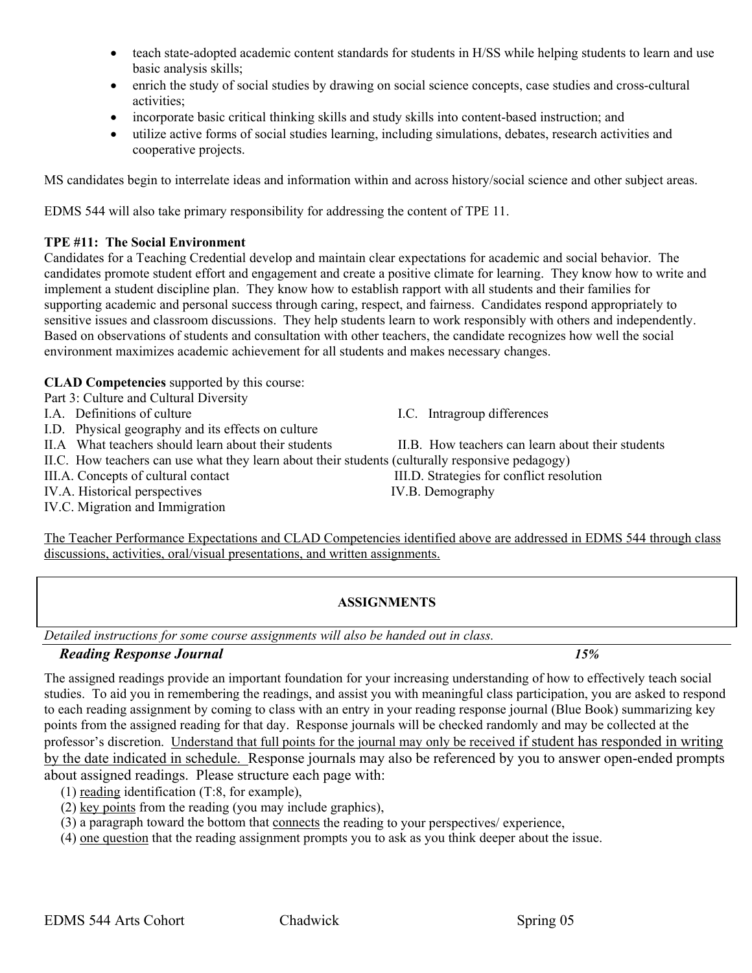- teach state-adopted academic content standards for students in H/SS while helping students to learn and use basic analysis skills;
- enrich the study of social studies by drawing on social science concepts, case studies and cross-cultural activities;
- incorporate basic critical thinking skills and study skills into content-based instruction; and
- utilize active forms of social studies learning, including simulations, debates, research activities and cooperative projects.

MS candidates begin to interrelate ideas and information within and across history/social science and other subject areas.

EDMS 544 will also take primary responsibility for addressing the content of TPE 11.

## **TPE #11: The Social Environment**

Candidates for a Teaching Credential develop and maintain clear expectations for academic and social behavior. The candidates promote student effort and engagement and create a positive climate for learning. They know how to write and implement a student discipline plan. They know how to establish rapport with all students and their families for supporting academic and personal success through caring, respect, and fairness. Candidates respond appropriately to sensitive issues and classroom discussions. They help students learn to work responsibly with others and independently. Based on observations of students and consultation with other teachers, the candidate recognizes how well the social environment maximizes academic achievement for all students and makes necessary changes.

# **CLAD Competencies** supported by this course:

Part 3: Culture and Cultural Diversity

- I.A. Definitions of culture I.C. Intragroup differences
- I.D. Physical geography and its effects on culture

II.A What teachers should learn about their students II.B. How teachers can learn about their students

II.C. How teachers can use what they learn about their students (culturally responsive pedagogy)

IV.A. Historical perspectives IV.B. Demography

IV.C. Migration and Immigration

III.A. Concepts of cultural contact III.D. Strategies for conflict resolution

The Teacher Performance Expectations and CLAD Competencies identified above are addressed in EDMS 544 through class discussions, activities, oral/visual presentations, and written assignments.

# **ASSIGNMENTS**

*Detailed instructions for some course assignments will also be handed out in class.* 

# *Reading Response Journal 15%*

The assigned readings provide an important foundation for your increasing understanding of how to effectively teach social studies. To aid you in remembering the readings, and assist you with meaningful class participation, you are asked to respond to each reading assignment by coming to class with an entry in your reading response journal (Blue Book) summarizing key points from the assigned reading for that day. Response journals will be checked randomly and may be collected at the professor's discretion. Understand that full points for the journal may only be received if student has responded in writing by the date indicated in schedule. Response journals may also be referenced by you to answer open-ended prompts about assigned readings. Please structure each page with:

- (1) reading identification (T:8, for example),
- (2) key points from the reading (you may include graphics),
- (3) a paragraph toward the bottom that connects the reading to your perspectives/ experience,
- (4) one question that the reading assignment prompts you to ask as you think deeper about the issue.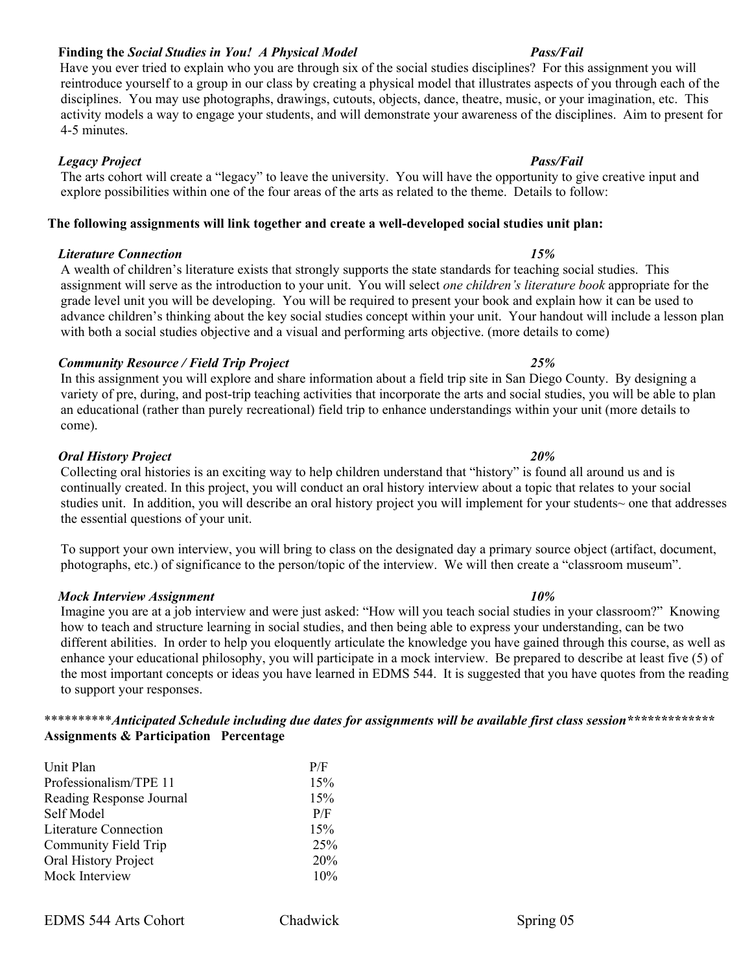# **Finding the** *Social Studies in You! A Physical Model Pass/Fail*

 Have you ever tried to explain who you are through six of the social studies disciplines? For this assignment you will reintroduce yourself to a group in our class by creating a physical model that illustrates aspects of you through each of the disciplines. You may use photographs, drawings, cutouts, objects, dance, theatre, music, or your imagination, etc. This activity models a way to engage your students, and will demonstrate your awareness of the disciplines. Aim to present for 4-5 minutes.

# *Pass/Fail <b>Pass/Fail Pass/Fail Pass/Fail Pass/Fail Pass/Fail*

The arts cohort will create a "legacy" to leave the university. You will have the opportunity to give creative input and explore possibilities within one of the four areas of the arts as related to the theme. Details to follow:

# **The following assignments will link together and create a well-developed social studies unit plan:**

# *Literature Connection 15%*

A wealth of children's literature exists that strongly supports the state standards for teaching social studies. This assignment will serve as the introduction to your unit. You will select *one children's literature book* appropriate for the grade level unit you will be developing. You will be required to present your book and explain how it can be used to advance children's thinking about the key social studies concept within your unit. Your handout will include a lesson plan with both a social studies objective and a visual and performing arts objective. (more details to come)

# *Community Resource / Field Trip Project 25%*

In this assignment you will explore and share information about a field trip site in San Diego County. By designing a variety of pre, during, and post-trip teaching activities that incorporate the arts and social studies, you will be able to plan an educational (rather than purely recreational) field trip to enhance understandings within your unit (more details to come).

# *Oral History Project 20%*

Collecting oral histories is an exciting way to help children understand that "history" is found all around us and is continually created. In this project, you will conduct an oral history interview about a topic that relates to your social studies unit. In addition, you will describe an oral history project you will implement for your students~ one that addresses the essential questions of your unit.

To support your own interview, you will bring to class on the designated day a primary source object (artifact, document, photographs, etc.) of significance to the person/topic of the interview. We will then create a "classroom museum".

# *Mock Interview Assignment 10%*

Imagine you are at a job interview and were just asked: "How will you teach social studies in your classroom?" Knowing how to teach and structure learning in social studies, and then being able to express your understanding, can be two different abilities. In order to help you eloquently articulate the knowledge you have gained through this course, as well as enhance your educational philosophy, you will participate in a mock interview. Be prepared to describe at least five (5) of the most important concepts or ideas you have learned in EDMS 544. It is suggested that you have quotes from the reading to support your responses.

# \*\*\*\*\*\*\*\*\*\**Anticipated Schedule including due dates for assignments will be available first class session\*\*\*\*\*\*\*\*\*\*\*\*\** **Assignments & Participation Percentage**

| Unit Plan                    | P/F |
|------------------------------|-----|
| Professionalism/TPE 11       | 15% |
| Reading Response Journal     | 15% |
| Self Model                   | P/F |
| <b>Literature Connection</b> | 15% |
| Community Field Trip         | 25% |
| Oral History Project         | 20% |
| Mock Interview               | 10% |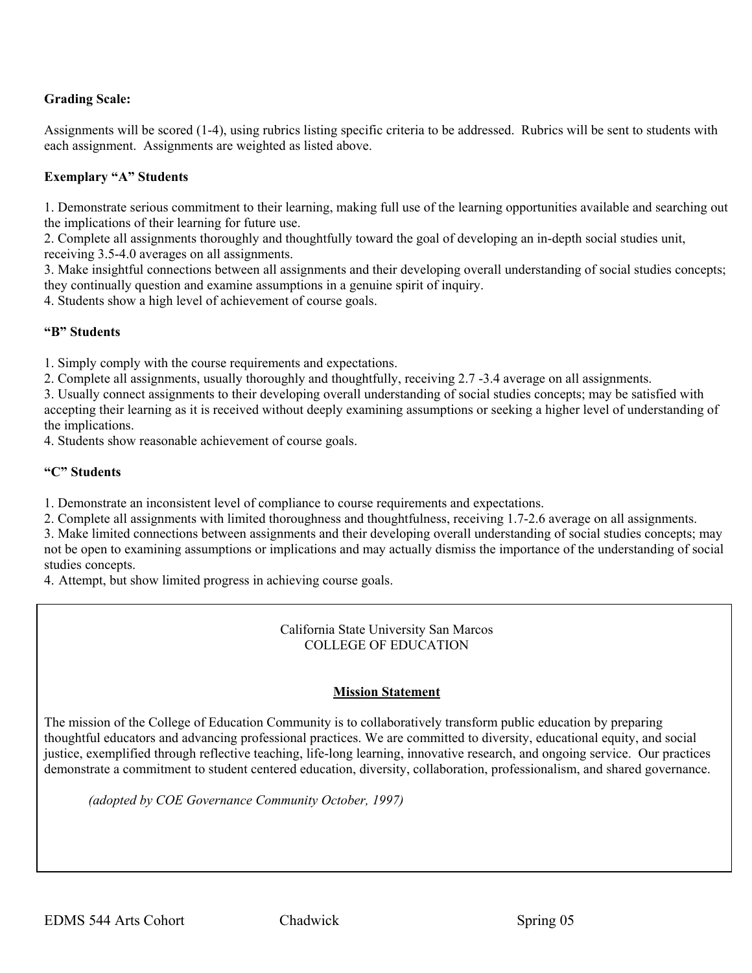# **Grading Scale:**

Assignments will be scored (1-4), using rubrics listing specific criteria to be addressed. Rubrics will be sent to students with each assignment. Assignments are weighted as listed above.

## **Exemplary "A" Students**

1. Demonstrate serious commitment to their learning, making full use of the learning opportunities available and searching out the implications of their learning for future use.

2. Complete all assignments thoroughly and thoughtfully toward the goal of developing an in-depth social studies unit, receiving 3.5-4.0 averages on all assignments.

3. Make insightful connections between all assignments and their developing overall understanding of social studies concepts; they continually question and examine assumptions in a genuine spirit of inquiry.

4. Students show a high level of achievement of course goals.

## **"B" Students**

1. Simply comply with the course requirements and expectations.

2. Complete all assignments, usually thoroughly and thoughtfully, receiving 2.7 -3.4 average on all assignments.

3. Usually connect assignments to their developing overall understanding of social studies concepts; may be satisfied with accepting their learning as it is received without deeply examining assumptions or seeking a higher level of understanding of the implications.

4. Students show reasonable achievement of course goals.

### **"C" Students**

1. Demonstrate an inconsistent level of compliance to course requirements and expectations.

2. Complete all assignments with limited thoroughness and thoughtfulness, receiving 1.7-2.6 average on all assignments.

3. Make limited connections between assignments and their developing overall understanding of social studies concepts; may not be open to examining assumptions or implications and may actually dismiss the importance of the understanding of social studies concepts.

4. Attempt, but show limited progress in achieving course goals.

California State University San Marcos COLLEGE OF EDUCATION

## **Mission Statement**

The mission of the College of Education Community is to collaboratively transform public education by preparing thoughtful educators and advancing professional practices. We are committed to diversity, educational equity, and social justice, exemplified through reflective teaching, life-long learning, innovative research, and ongoing service. Our practices demonstrate a commitment to student centered education, diversity, collaboration, professionalism, and shared governance.

*(adopted by COE Governance Community October, 1997)*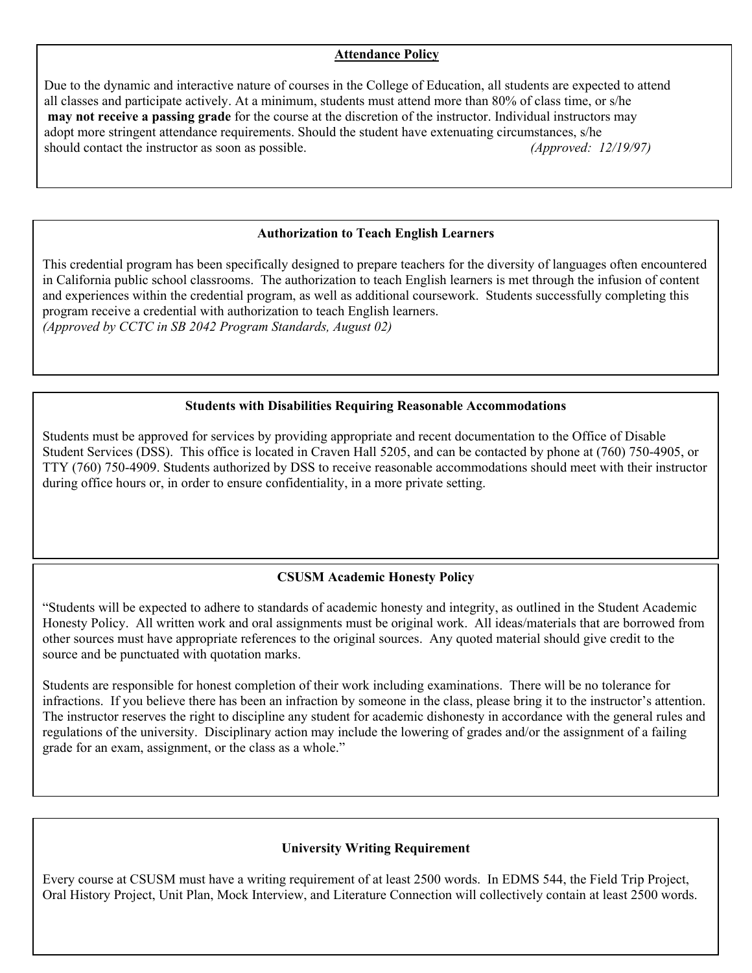# **Attendance Policy**

Due to the dynamic and interactive nature of courses in the College of Education, all students are expected to attend all classes and participate actively. At a minimum, students must attend more than 80% of class time, or s/he **may not receive a passing grade** for the course at the discretion of the instructor. Individual instructors may adopt more stringent attendance requirements. Should the student have extenuating circumstances, s/he should contact the instructor as soon as possible. *(Approved: 12/19/97)*

## **Authorization to Teach English Learners**

This credential program has been specifically designed to prepare teachers for the diversity of languages often encountered in California public school classrooms. The authorization to teach English learners is met through the infusion of content and experiences within the credential program, as well as additional coursework. Students successfully completing this program receive a credential with authorization to teach English learners. *(Approved by CCTC in SB 2042 Program Standards, August 02)*

## **Students with Disabilities Requiring Reasonable Accommodations**

Students must be approved for services by providing appropriate and recent documentation to the Office of Disable Student Services (DSS). This office is located in Craven Hall 5205, and can be contacted by phone at (760) 750-4905, or TTY (760) 750-4909. Students authorized by DSS to receive reasonable accommodations should meet with their instructor during office hours or, in order to ensure confidentiality, in a more private setting.

# **CSUSM Academic Honesty Policy**

"Students will be expected to adhere to standards of academic honesty and integrity, as outlined in the Student Academic Honesty Policy. All written work and oral assignments must be original work. All ideas/materials that are borrowed from other sources must have appropriate references to the original sources. Any quoted material should give credit to the source and be punctuated with quotation marks.

Students are responsible for honest completion of their work including examinations. There will be no tolerance for infractions. If you believe there has been an infraction by someone in the class, please bring it to the instructor's attention. The instructor reserves the right to discipline any student for academic dishonesty in accordance with the general rules and regulations of the university. Disciplinary action may include the lowering of grades and/or the assignment of a failing grade for an exam, assignment, or the class as a whole."

# **University Writing Requirement**

Every course at CSUSM must have a writing requirement of at least 2500 words. In EDMS 544, the Field Trip Project, Oral History Project, Unit Plan, Mock Interview, and Literature Connection will collectively contain at least 2500 words.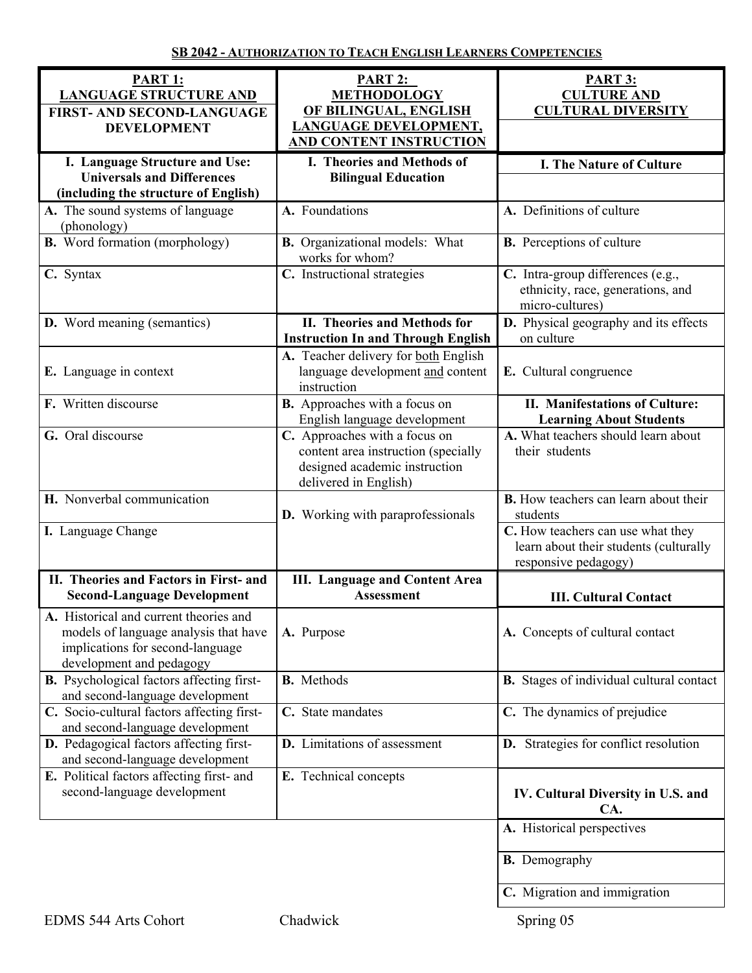| PART 1:<br><b>LANGUAGE STRUCTURE AND</b><br><b>FIRST- AND SECOND-LANGUAGE</b><br><b>DEVELOPMENT</b>                                             | <b>PART 2:</b><br><b>METHODOLOGY</b><br>OF BILINGUAL, ENGLISH<br><b>LANGUAGE DEVELOPMENT,</b><br>AND CONTENT INSTRUCTION       | <b>PART 3:</b><br><b>CULTURE AND</b><br><b>CULTURAL DIVERSITY</b>                                                                                               |
|-------------------------------------------------------------------------------------------------------------------------------------------------|--------------------------------------------------------------------------------------------------------------------------------|-----------------------------------------------------------------------------------------------------------------------------------------------------------------|
| I. Language Structure and Use:<br><b>Universals and Differences</b><br>(including the structure of English)                                     | I. Theories and Methods of<br><b>Bilingual Education</b>                                                                       | <b>I. The Nature of Culture</b>                                                                                                                                 |
| A. The sound systems of language<br>(phonology)                                                                                                 | A. Foundations                                                                                                                 | A. Definitions of culture                                                                                                                                       |
| <b>B.</b> Word formation (morphology)                                                                                                           | <b>B.</b> Organizational models: What<br>works for whom?                                                                       | <b>B.</b> Perceptions of culture                                                                                                                                |
| C. Syntax                                                                                                                                       | C. Instructional strategies                                                                                                    | C. Intra-group differences (e.g.,<br>ethnicity, race, generations, and<br>micro-cultures)                                                                       |
| <b>D.</b> Word meaning (semantics)                                                                                                              | II. Theories and Methods for<br><b>Instruction In and Through English</b>                                                      | D. Physical geography and its effects<br>on culture                                                                                                             |
| E. Language in context                                                                                                                          | A. Teacher delivery for both English<br>language development and content<br>instruction                                        | E. Cultural congruence                                                                                                                                          |
| F. Written discourse                                                                                                                            | <b>B.</b> Approaches with a focus on<br>English language development                                                           | II. Manifestations of Culture:<br><b>Learning About Students</b>                                                                                                |
| G. Oral discourse                                                                                                                               | C. Approaches with a focus on<br>content area instruction (specially<br>designed academic instruction<br>delivered in English) | A. What teachers should learn about<br>their students                                                                                                           |
| H. Nonverbal communication<br>I. Language Change                                                                                                | <b>D.</b> Working with paraprofessionals                                                                                       | <b>B.</b> How teachers can learn about their<br>students<br>C. How teachers can use what they<br>learn about their students (culturally<br>responsive pedagogy) |
| II. Theories and Factors in First- and<br><b>Second-Language Development</b>                                                                    | <b>III.</b> Language and Content Area<br><b>Assessment</b>                                                                     | <b>III. Cultural Contact</b>                                                                                                                                    |
| A. Historical and current theories and<br>models of language analysis that have<br>implications for second-language<br>development and pedagogy | A. Purpose                                                                                                                     | A. Concepts of cultural contact                                                                                                                                 |
| <b>B.</b> Psychological factors affecting first-<br>and second-language development                                                             | <b>B.</b> Methods                                                                                                              | <b>B.</b> Stages of individual cultural contact                                                                                                                 |
| C. Socio-cultural factors affecting first-<br>and second-language development                                                                   | C. State mandates                                                                                                              | C. The dynamics of prejudice                                                                                                                                    |
| D. Pedagogical factors affecting first-<br>and second-language development                                                                      | <b>D.</b> Limitations of assessment                                                                                            | <b>D.</b> Strategies for conflict resolution                                                                                                                    |
| E. Political factors affecting first- and<br>second-language development                                                                        | E. Technical concepts                                                                                                          | IV. Cultural Diversity in U.S. and<br>CA.                                                                                                                       |
|                                                                                                                                                 |                                                                                                                                | A. Historical perspectives                                                                                                                                      |
|                                                                                                                                                 |                                                                                                                                | <b>B.</b> Demography                                                                                                                                            |
|                                                                                                                                                 |                                                                                                                                | C. Migration and immigration                                                                                                                                    |